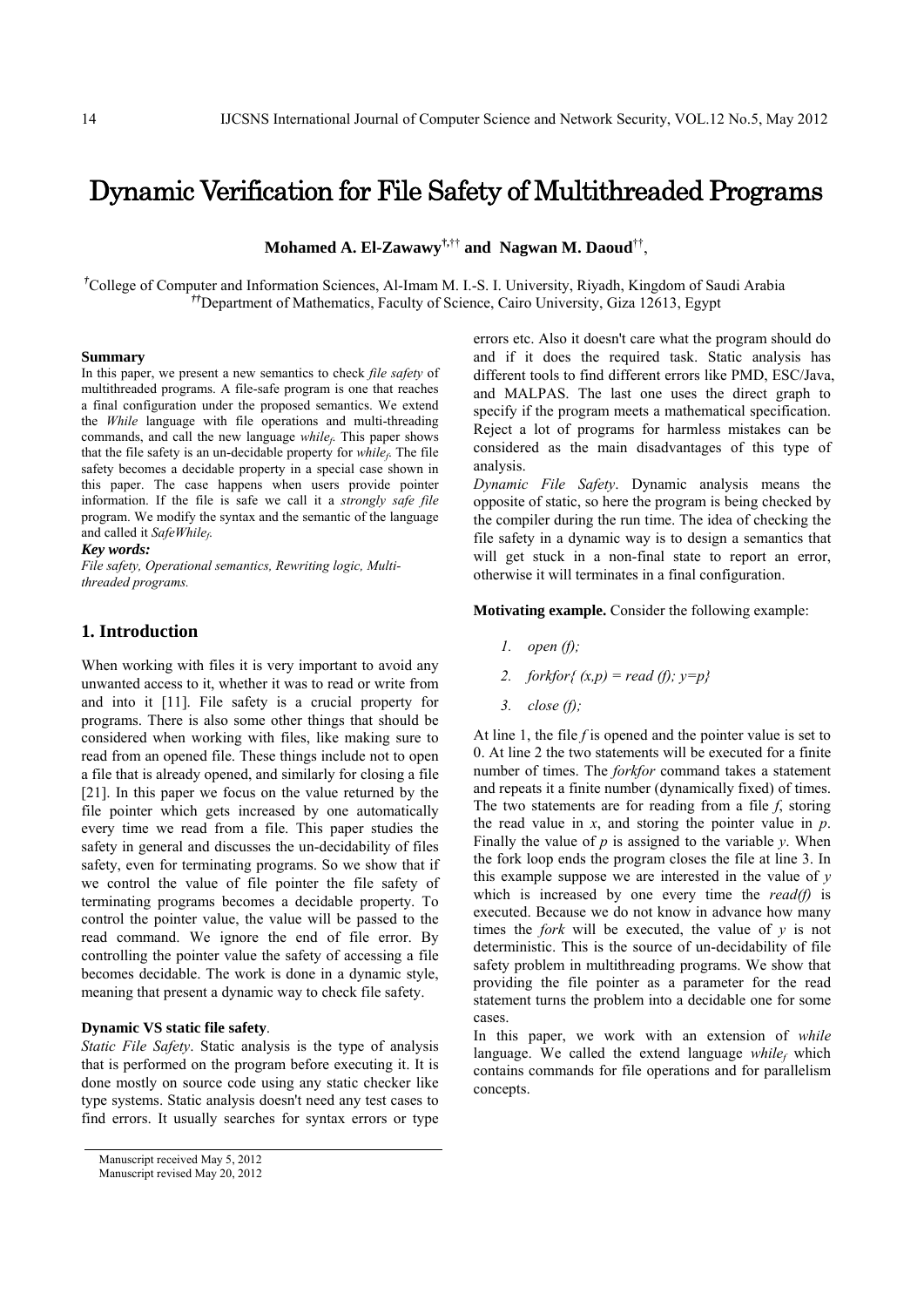# Dynamic Verification for File Safety of Multithreaded Programs

**Mohamed A. El-Zawawy†,**†† **and Nagwan M. Daoud**††,

*†* College of Computer and Information Sciences, Al-Imam M. I.-S. I. University, Riyadh, Kingdom of Saudi Arabia *††*Department of Mathematics, Faculty of Science, Cairo University, Giza 12613, Egypt

#### **Summary**

In this paper, we present a new semantics to check *file safety* of multithreaded programs. A file-safe program is one that reaches a final configuration under the proposed semantics. We extend the *While* language with file operations and multi-threading commands, and call the new language *whilef*. This paper shows that the file safety is an un-decidable property for  $while<sub>f</sub>$ . The file safety becomes a decidable property in a special case shown in this paper. The case happens when users provide pointer information. If the file is safe we call it a *strongly safe file* program. We modify the syntax and the semantic of the language and called it SafeWhile<sub>f</sub>.

## *Key words:*

*File safety, Operational semantics, Rewriting logic, Multithreaded programs.* 

# **1. Introduction**

When working with files it is very important to avoid any unwanted access to it, whether it was to read or write from and into it [11]. File safety is a crucial property for programs. There is also some other things that should be considered when working with files, like making sure to read from an opened file. These things include not to open a file that is already opened, and similarly for closing a file [21]. In this paper we focus on the value returned by the file pointer which gets increased by one automatically every time we read from a file. This paper studies the safety in general and discusses the un-decidability of files safety, even for terminating programs. So we show that if we control the value of file pointer the file safety of terminating programs becomes a decidable property. To control the pointer value, the value will be passed to the read command. We ignore the end of file error. By controlling the pointer value the safety of accessing a file becomes decidable. The work is done in a dynamic style, meaning that present a dynamic way to check file safety.

# **Dynamic VS static file safety**.

*Static File Safety*. Static analysis is the type of analysis that is performed on the program before executing it. It is done mostly on source code using any static checker like type systems. Static analysis doesn't need any test cases to find errors. It usually searches for syntax errors or type

errors etc. Also it doesn't care what the program should do and if it does the required task. Static analysis has different tools to find different errors like PMD, ESC/Java, and MALPAS. The last one uses the direct graph to specify if the program meets a mathematical specification. Reject a lot of programs for harmless mistakes can be considered as the main disadvantages of this type of analysis.

*Dynamic File Safety*. Dynamic analysis means the opposite of static, so here the program is being checked by the compiler during the run time. The idea of checking the file safety in a dynamic way is to design a semantics that will get stuck in a non-final state to report an error, otherwise it will terminates in a final configuration.

**Motivating example.** Consider the following example:

- *1. open (f);*
- *2. forkfor{ (x,p) = read (f); y=p}*
- *3. close (f);*

At line 1, the file *f* is opened and the pointer value is set to 0. At line 2 the two statements will be executed for a finite number of times. The *forkfor* command takes a statement and repeats it a finite number (dynamically fixed) of times. The two statements are for reading from a file *f*, storing the read value in *x*, and storing the pointer value in *p*. Finally the value of *p* is assigned to the variable *y*. When the fork loop ends the program closes the file at line 3. In this example suppose we are interested in the value of *y* which is increased by one every time the *read(f)* is executed. Because we do not know in advance how many times the *fork* will be executed, the value of *y* is not deterministic. This is the source of un-decidability of file safety problem in multithreading programs. We show that providing the file pointer as a parameter for the read statement turns the problem into a decidable one for some cases.

In this paper, we work with an extension of *while* language. We called the extend language  $while<sub>f</sub>$  which contains commands for file operations and for parallelism concepts.

Manuscript received May 5, 2012

Manuscript revised May 20, 2012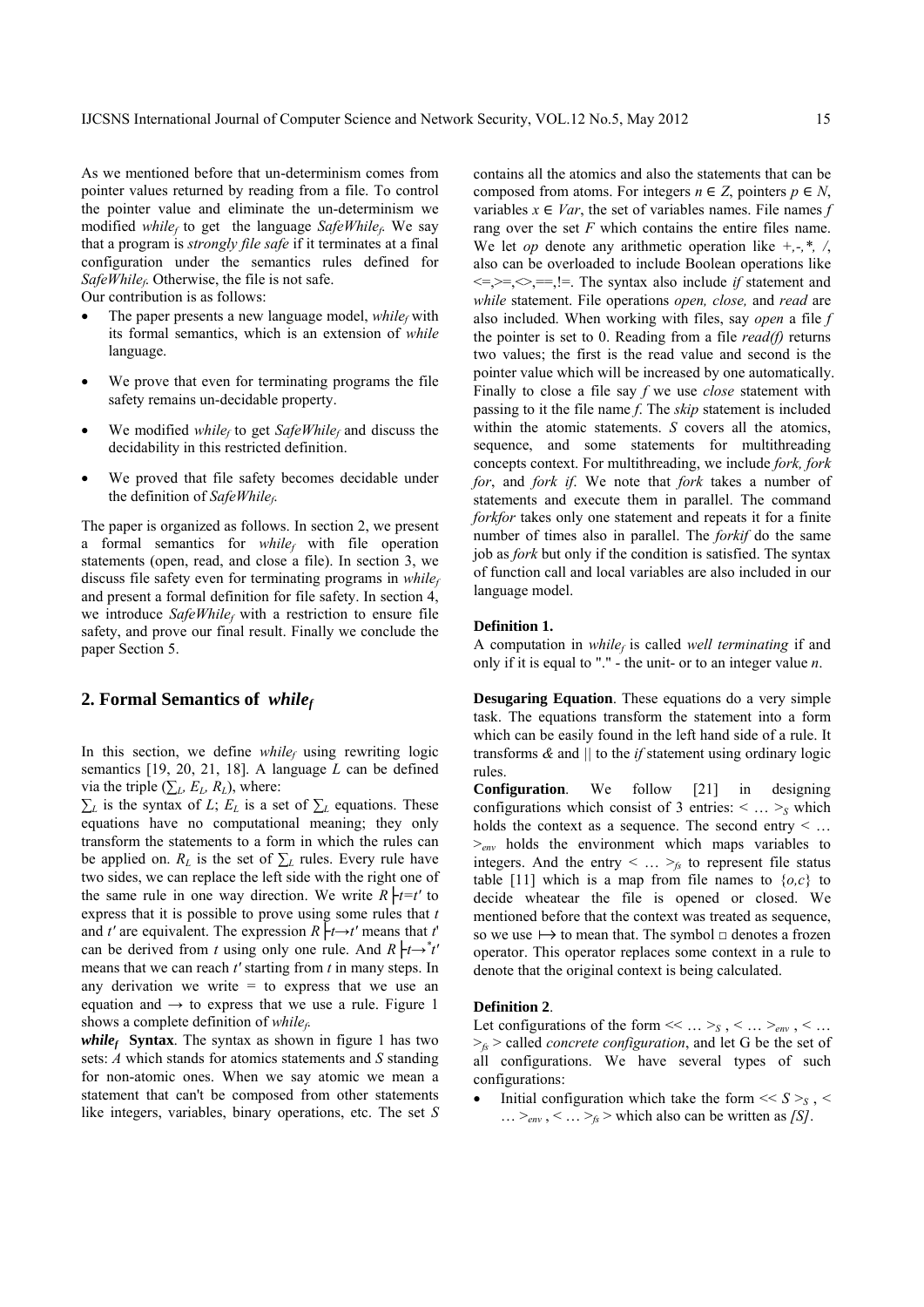As we mentioned before that un-determinism comes from pointer values returned by reading from a file. To control the pointer value and eliminate the un-determinism we modified *whilef* to get the language *SafeWhilef*. We say that a program is *strongly file safe* if it terminates at a final configuration under the semantics rules defined for *SafeWhilef*. Otherwise, the file is not safe.

Our contribution is as follows:

- The paper presents a new language model,  $while<sub>f</sub>$  with its formal semantics, which is an extension of *while* language.
- We prove that even for terminating programs the file safety remains un-decidable property.
- We modified *whilef* to get *SafeWhilef* and discuss the decidability in this restricted definition.
- We proved that file safety becomes decidable under the definition of *SafeWhilef*.

The paper is organized as follows. In section 2, we present a formal semantics for *while<sub>f</sub>* with file operation statements (open, read, and close a file). In section 3, we discuss file safety even for terminating programs in *whilef* and present a formal definition for file safety. In section 4, we introduce *SafeWhile<sub>f</sub>* with a restriction to ensure file safety, and prove our final result. Finally we conclude the paper Section 5.

# **2. Formal Semantics of** *whilef*

In this section, we define  $while<sub>f</sub>$  using rewriting logic semantics [19, 20, 21, 18]. A language *L* can be defined via the triple ( $\sum_{L} E_{L} R_{L}$ ), where:

*∑*<sup>*L*</sup> is the syntax of *L*; *E*<sup>*L*</sup> is a set of  $∑$ <sup>*L*</sup> equations. These equations have no computational meaning; they only transform the statements to a form in which the rules can be applied on.  $R_L$  is the set of  $\Sigma_L$  rules. Every rule have two sides, we can replace the left side with the right one of the same rule in one way direction. We write  $R \mid t=t'$  to express that it is possible to prove using some rules that *t* and *t'* are equivalent. The expression  $R \nvert t \rightarrow t'$  means that *t'* can be derived from *t* using only one rule. And  $R \nvert t \rightarrow t'$ means that we can reach *t'* starting from *t* in many steps. In any derivation we write  $=$  to express that we use an equation and  $\rightarrow$  to express that we use a rule. Figure 1 shows a complete definition of *whilef*.

*while<sub>f</sub>* **Syntax**. The syntax as shown in figure 1 has two sets: *A* which stands for atomics statements and *S* standing for non-atomic ones. When we say atomic we mean a statement that can't be composed from other statements like integers, variables, binary operations, etc. The set *S*

contains all the atomics and also the statements that can be composed from atoms. For integers  $n \in \mathbb{Z}$ , pointers  $p \in \mathbb{N}$ , variables  $x \in Var$ , the set of variables names. File names *f* rang over the set *F* which contains the entire files name. We let *op* denote any arithmetic operation like *+,-,\*, /*, also can be overloaded to include Boolean operations like  $\leq$   $\geq$   $\leq$   $\leq$   $\leq$   $\leq$   $\leq$   $\leq$   $\leq$   $\leq$   $\leq$   $\leq$   $\leq$   $\leq$   $\leq$   $\leq$   $\leq$   $\leq$   $\leq$   $\leq$   $\leq$   $\leq$   $\leq$   $\leq$   $\leq$   $\leq$   $\leq$   $\leq$   $\leq$   $\leq$   $\leq$   $\leq$   $\leq$   $\leq$   $\leq$   $\leq$   $\leq$ *while* statement. File operations *open, close,* and *read* are also included. When working with files, say *open* a file *f* the pointer is set to 0. Reading from a file *read(f)* returns two values; the first is the read value and second is the pointer value which will be increased by one automatically. Finally to close a file say *f* we use *close* statement with passing to it the file name *f*. The *skip* statement is included within the atomic statements. *S* covers all the atomics, sequence, and some statements for multithreading concepts context. For multithreading, we include *fork, fork for*, and *fork if*. We note that *fork* takes a number of statements and execute them in parallel. The command *forkfor* takes only one statement and repeats it for a finite number of times also in parallel. The *forkif* do the same job as *fork* but only if the condition is satisfied. The syntax of function call and local variables are also included in our language model.

## **Definition 1.**

A computation in *whilef* is called *well terminating* if and only if it is equal to "." - the unit- or to an integer value *n*.

**Desugaring Equation**. These equations do a very simple task. The equations transform the statement into a form which can be easily found in the left hand side of a rule. It transforms *&* and *||* to the *if* statement using ordinary logic rules.

**Configuration**. We follow [21] in designing configurations which consist of 3 entries:  $\langle \dots \rangle_s$  which holds the context as a sequence. The second entry < …  $\geq_{env}$  holds the environment which maps variables to integers. And the entry  $\langle \dots \rangle_f$  to represent file status table [11] which is a map from file names to  $\{o,c\}$  to decide wheatear the file is opened or closed. We mentioned before that the context was treated as sequence, so we use  $\mapsto$  to mean that. The symbol  $\Box$  denotes a frozen operator. This operator replaces some context in a rule to denote that the original context is being calculated.

#### **Definition 2**.

Let configurations of the form  $\ll \dots \gt_{S}$ ,  $\lt \dots \gt_{env}$ ,  $\lt \dots$  $>_{fs}$  > called *concrete configuration*, and let G be the set of all configurations. We have several types of such configurations:

• Initial configuration which take the form  $<< S >_{S}$ ,  $<$  $\ldots$  ><sub>env</sub>, <  $\ldots$  ><sub>fs</sub> > which also can be written as *[S]*.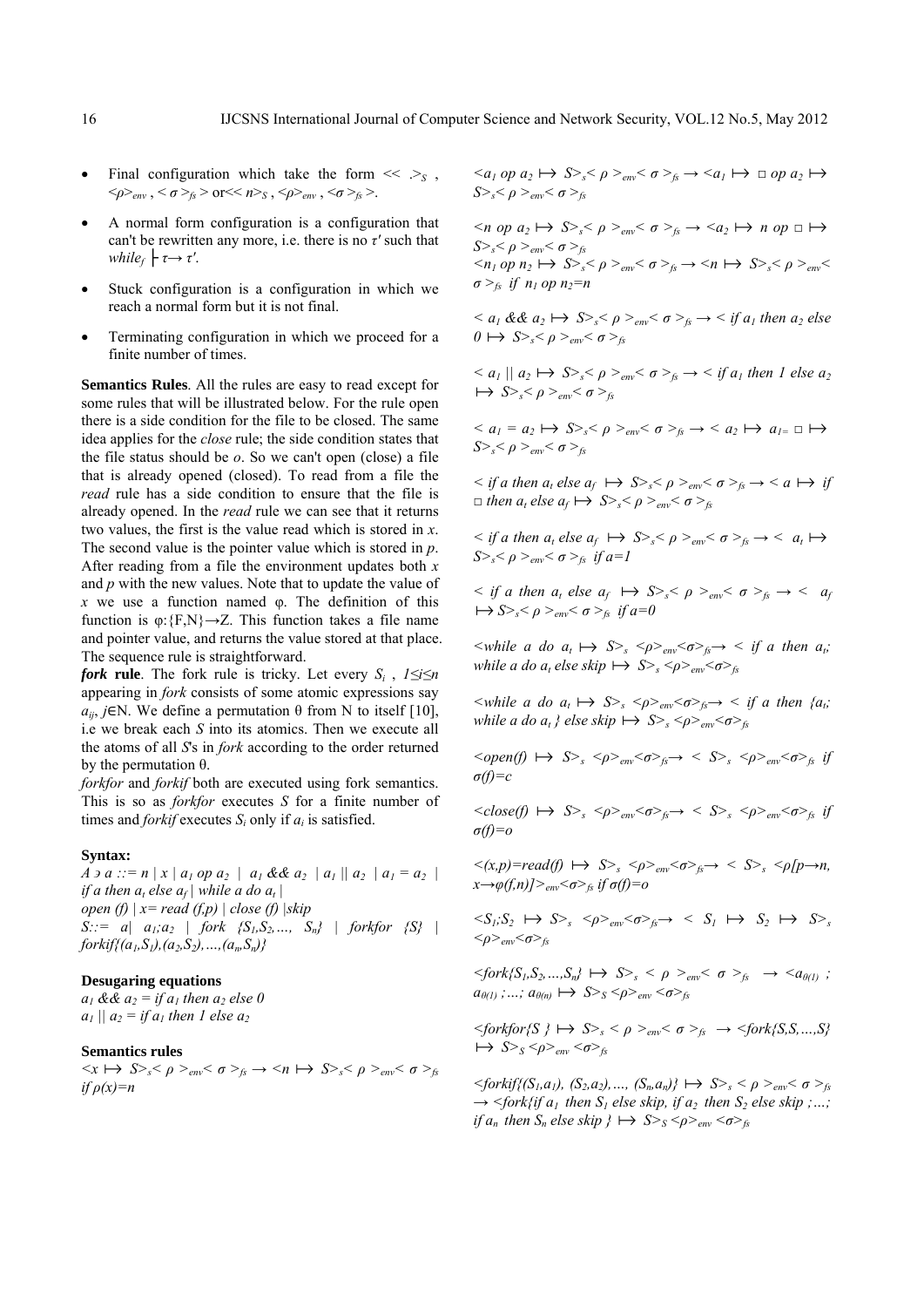- Final configuration which take the form  $\ll \gtrsim_S$ ,  $<\!\!\rho\!\!>_{env}$ , < *σ* ><sub>*fs*</sub> > or<< *n*> *s*<sub>S</sub>, < $\rho$ ><sub>*env*</sub>, <*σ* ><sub>*fs*</sub> >.
- A normal form configuration is a configuration that can't be rewritten any more, i.e. there is no *τ'* such that *while<sub>f</sub>*  $\vdash \tau \rightarrow \tau'$ .
- Stuck configuration is a configuration in which we reach a normal form but it is not final.
- Terminating configuration in which we proceed for a finite number of times.

**Semantics Rules**. All the rules are easy to read except for some rules that will be illustrated below. For the rule open there is a side condition for the file to be closed. The same idea applies for the *close* rule; the side condition states that the file status should be *o*. So we can't open (close) a file that is already opened (closed). To read from a file the *read* rule has a side condition to ensure that the file is already opened. In the *read* rule we can see that it returns two values, the first is the value read which is stored in *x*. The second value is the pointer value which is stored in *p*. After reading from a file the environment updates both *x* and *p* with the new values. Note that to update the value of *x* we use a function named φ. The definition of this function is  $\varphi$ : {F,N}  $\rightarrow$  Z. This function takes a file name and pointer value, and returns the value stored at that place. The sequence rule is straightforward.

*fork* rule. The fork rule is tricky. Let every  $S_i$ ,  $1 \le i \le n$ appearing in *fork* consists of some atomic expressions say  $a_{ii}$ , *j*∈N. We define a permutation  $θ$  from N to itself [10], i.e we break each *S* into its atomics. Then we execute all the atoms of all *S*'s in *fork* according to the order returned by the permutation  $θ$ .

*forkfor* and *forkif* both are executed using fork semantics. This is so as *forkfor* executes *S* for a finite number of times and *forkif* executes *Si* only if *ai* is satisfied.

#### **Syntax:**

 $A \ni a ::= n | x | a_1 op a_2 | a_1 & d_2 a_2 | a_1 || a_2 | a_1 = a_2$ *if a then*  $a_t$  *else*  $a_f$  *while a do*  $a_t$   $\vert$ *open (f) | x= read (f,p) | close (f) |skip S::= a| a<sub>1</sub>;a<sub>2</sub> | fork {S<sub>1</sub>,S<sub>2</sub>,..., S<sub>n</sub>} | forkfor {S} |*  $forkif{(a_1, S_1), (a_2, S_2), ..., (a_n, S_n)}$ 

## **Desugaring equations**

 $a_1$  &&  $a_2 =$  *if a<sub>1</sub>* then  $a_2$  else 0 *a<sub>1</sub>*  $|| a_2 = if a_1$  *then 1 else a<sub>2</sub>* 

# **Semantics rules**

 $\langle x \mapsto S \rangle_s \langle \rho \rangle_{env} \langle \sigma \rangle_f$   $\rightarrow$   $\langle n \mapsto S \rangle_s \langle \rho \rangle_{env} \langle \sigma \rangle_f$  $if \rho(x)=n$ 

 $\langle a_1 \text{ op } a_2 \mapsto S \rangle_s \langle \rho \rangle_{\text{env}} \langle \sigma \rangle_s \rightarrow \langle a_1 \mapsto \Box \text{ op } a_2 \mapsto$ *S*><sub>s</sub>< $ρ$  ><sub>env</sub>< $σ$  ><sub>fs</sub>

 $\langle n \text{ op } a_2 \mapsto S \rangle_s \langle \rho \rangle_{\text{env}} \langle \sigma \rangle_s \rightarrow \langle a_2 \mapsto n \text{ op } \Box \mapsto$  $S>_{s}<\rho>_{env}<\sigma>_{fs}$  $\langle n_1 \text{ op } n_2 \mapsto S \rangle_s \langle \rho \rangle_{env} \langle \sigma \rangle_f \rightarrow \langle n \mapsto S \rangle_s \langle \rho \rangle_{env}$  $\sigma$ <sup>*><sub>fs</sub>* if  $n_1$  op  $n_2$ =n</sup>

 $\langle a_1 \, \& \, a_2 \rangle \mapsto S \rangle_s \langle \rho \rangle_{\text{env}} \langle \sigma \rangle_t \rightarrow \langle f \rangle_{\text{env}}$  then a<sub>2</sub> else  $0 \mapsto S > S_p < \rho >_{env} < \sigma > f_s$ 

 $\langle a_1 | a_2 \mapsto S \rangle_s \langle a_1 | a_2 \rangle \rightarrow S \rangle_s$  $\mapsto S>_{s}<\rho>_{env}<\sigma>_{fs}$ 

 $\langle a_1 = a_2 \mapsto S \rangle_s \langle \rho \rangle_{env} \langle \sigma \rangle_s \rightarrow \langle a_2 \mapsto a_{1} \square \mapsto$ *S*><sub>*s*</sub> < *ρ* >  $>_{env}$  < *σ* > *fs* 

 $\langle$  *if a then a<sub>t</sub> else a<sub>f</sub>*  $\mapsto$   $S \geq s \leq \rho \geq_{env} \leq \sigma \geq_{fs} \rightarrow \langle a \mapsto i f \rangle$  $\Box$  *then a<sub>t</sub> else a<sub>f</sub>*  $\rightarrow$  *S*>*s*<sup><</sup> *ρ* ><sub>*env</sub>*  $\leq$  *σ* ><sub>*fs*</sub></sub>

 $\langle$  *s if a then*  $a_t$  *else*  $a_f \mapsto S$ *><sub>s</sub>* $\langle \rho \rangle$ <sub>env</sub> $\langle \sigma \rangle$ <sub>fs</sub>  $\rightarrow$   $\langle a_t \mapsto$ *S*><sub>*s*</sub> < *ρ* >  $>_{env}$  < *σ* >  $<sub>f</sub>$ *if a=1*</sub>

 $\langle f \rangle$  *s then*  $a_t$  *else*  $a_f$   $\mapsto$   $S \geq_s \leq \rho \geq_{env} \leq \sigma \geq_{fs} \rightarrow \langle a_f \rangle$  $\mapsto S$ <sup>*>*</sup><sub>*s</sub>*  $\lt \rho$  *><sub>env</sub>*  $\lt \sigma$  *><sub>fs</sub> if a=0*</sub>

 $\langle$  *swhile a do a<sub>t</sub>*  $\mapsto$   $S$ <sub>*s*</sub>  $\langle$   $\rho$ <sub> $\rho$  $\langle$  $\sigma$  $\rho$ <sub>*fs*</sub> $\rightarrow$ </sub>  $\langle$  *if a then a<sub>t</sub>; while a do a<sub>t</sub> else skip*  $\mapsto$   $S > s < \rho >_{env} < \sigma > f_s$ 

 $\langle$  *swhile a do a<sub>t</sub>*  $\mapsto$   $S$ ,  $\langle \frac{\partial}{\partial p} \rangle_{\text{env}} \langle \frac{\partial}{\partial p} \rangle_{\text{fs}} \rightarrow \langle f \rangle$  *if a then*  $\{a_i\}$ *while a do a<sub>t</sub></sub> } else skip*  $\mapsto$   $S$ ><sub>s</sub> < $\rho$ ><sub>env</sub> < $\sigma$ ><sub>fs</sub>

 $\langle \text{open}(f) \mapsto S \rangle_s \langle \text{open}(f) \rangle_s$  +  $S \rangle_s$   $\langle \text{open}(f) \rangle_s$  +  $\langle S \rangle_s \langle \text{open}(f) \rangle_s$  if *σ(f)=c* 

 $\langle \text{close}(f) \mapsto S \rangle_s \langle \text{space}(f) \rangle_s$   $\langle \text{space}(f) \rangle_s$ *σ(f)=o* 

 $\langle (x,p)=read(f) \mapsto S>_{s} \langle p>_{env} \langle \sigma >_{fs} \rightarrow S>_{s} \langle p[p \rightarrow n, \sigma] \rangle$  $\frac{x \rightarrow \varphi(f,n)}{>_{env}} < \sigma >_{fs}$  if  $\sigma(f) = 0$ 

 $\langle S_1; S_2 \mapsto S \rangle_s$   $\langle \rho \rangle_{env} \langle \sigma \rangle_f \rightarrow \langle S_1 \mapsto S_2 \mapsto S \rangle_s$ *<ρ>env<σ>fs*

 $\langle$ *fork{S<sub>1</sub>,S<sub>2</sub>,...,S<sub>n</sub>}*  $\mapsto$  *S*><sub>*s*</sub>  $\langle$  *ρ*  $>_{env}$  $\langle$  *σ*  $>_{fs}$   $\rightarrow$   $\langle$ *a*<sub> $\theta$ (*1*) *;*</sub>  $a_{\theta(1)}$ ; ...;  $a_{\theta(n)} \mapsto S > S \langle \rho \rangle_{env} \langle \sigma \rangle_{fs}$ 

 $\langle$  *Sorkfor{S }*  $\mapsto$   $S$ <sub>>s</sub>  $\langle$   $\rho$   $\rangle$ <sub>env</sub> $\langle$   $\sigma$   $\rangle$ <sub>fs</sub>  $\rightarrow$   $\langle$  *fork{S,S, ...,S}*  $\mapsto$  *S*><sub>*S*</sub> <*ρ*><sub>env</sub> <*σ*><sub>*fs*</sub>

 $\{5 \cdot \text{for } k \in \{S_1, a_1\}, \ S_2, a_2\}, \ldots, \ S_m, a_n\} \mapsto S_{\geq s} \leq \rho \geq_{\text{env}} \leq \sigma \geq_{\text{fw}}$  $\rightarrow$  <fork{if a<sub>1</sub> then S<sub>1</sub> else skip, if a<sub>2</sub> then S<sub>2</sub> else skip ;...; *if*  $a_n$  then  $S_n$  else skip  $\} \mapsto S_{S}$   $\langle \rho \rangle_{env}$   $\langle \sigma \rangle_{fs}$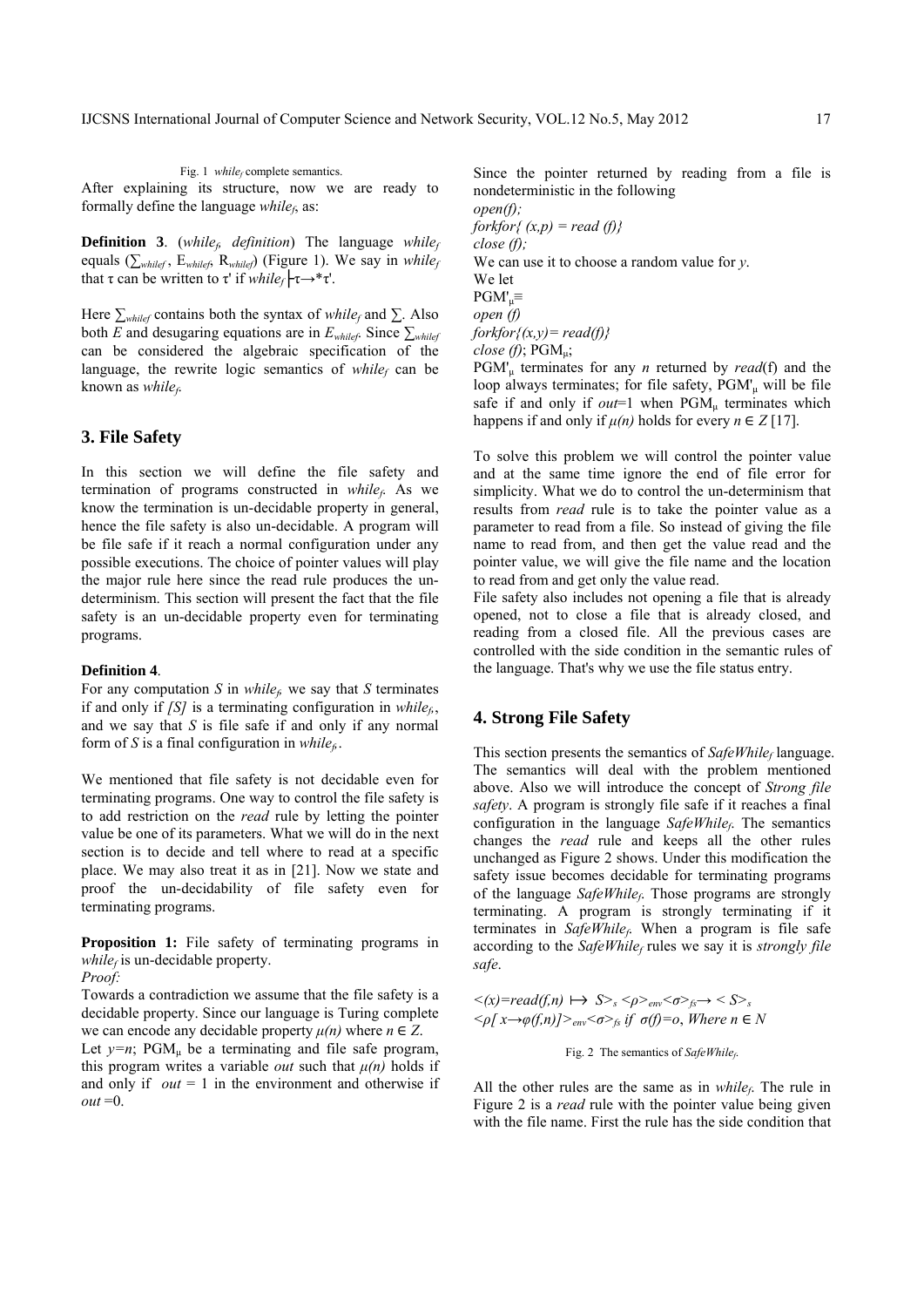Fig. 1 *whilef* complete semantics. After explaining its structure, now we are ready to formally define the language *whilef*, as:

**Definition 3**. (*while<sub>f</sub>* definition) The language *whilef* equals ( $\sum_{whilef}$ ,  $E_{whilef}$ ,  $R_{whilef}$ ) (Figure 1). We say in *whilef* that τ can be written to τ' if *while<sub>f</sub>*  $\left\vert \tau \rightarrow^* \tau \right\vert$ .

Here *∑whilef* contains both the syntax of *whilef* and ∑. Also both *E* and desugaring equations are in  $E_{\text{whilef}}$ . Since  $\sum_{\text{whilef}}$ can be considered the algebraic specification of the language, the rewrite logic semantics of  $while<sub>f</sub>$  can be known as *while<sub>f</sub>*.

# **3. File Safety**

In this section we will define the file safety and termination of programs constructed in *whilef*. As we know the termination is un-decidable property in general, hence the file safety is also un-decidable. A program will be file safe if it reach a normal configuration under any possible executions. The choice of pointer values will play the major rule here since the read rule produces the undeterminism. This section will present the fact that the file safety is an un-decidable property even for terminating programs.

#### **Definition 4**.

For any computation *S* in *while<sub>6</sub>* we say that *S* terminates if and only if *[S]* is a terminating configuration in *while<sub>6</sub>*, and we say that *S* is file safe if and only if any normal form of *S* is a final configuration in *while<sub>f</sub>*.

We mentioned that file safety is not decidable even for terminating programs. One way to control the file safety is to add restriction on the *read* rule by letting the pointer value be one of its parameters. What we will do in the next section is to decide and tell where to read at a specific place. We may also treat it as in [21]. Now we state and proof the un-decidability of file safety even for terminating programs.

**Proposition 1:** File safety of terminating programs in  $while<sub>f</sub>$  is un-decidable property.

*Proof:* 

Towards a contradiction we assume that the file safety is a decidable property. Since our language is Turing complete we can encode any decidable property  $\mu(n)$  where  $n \in \mathbb{Z}$ . Let  $y=n$ ; PGM<sub>u</sub> be a terminating and file safe program, this program writes a variable *out* such that  $\mu(n)$  holds if and only if  $out = 1$  in the environment and otherwise if  $out = 0$ .

Since the pointer returned by reading from a file is nondeterministic in the following *open(f); forkfor{ (x,p) = read (f)} close (f);*  We can use it to choose a random value for *y*. We let  $PGM'_{ii} \equiv$ *open (f) forkfor{(x,y)= read(f)} close (f)*; PGMμ; PGM'μ terminates for any *n* returned by *read*(f) and the

loop always terminates; for file safety, PGM'μ will be file safe if and only if  $out=1$  when  $PGM_{\mu}$  terminates which happens if and only if  $\mu(n)$  holds for every  $n \in \mathbb{Z}$  [17].

To solve this problem we will control the pointer value and at the same time ignore the end of file error for simplicity. What we do to control the un-determinism that results from *read* rule is to take the pointer value as a parameter to read from a file. So instead of giving the file name to read from, and then get the value read and the pointer value, we will give the file name and the location to read from and get only the value read.

File safety also includes not opening a file that is already opened, not to close a file that is already closed, and reading from a closed file. All the previous cases are controlled with the side condition in the semantic rules of the language. That's why we use the file status entry.

# **4. Strong File Safety**

This section presents the semantics of *SafeWhile<sub>f</sub>* language. The semantics will deal with the problem mentioned above. Also we will introduce the concept of *Strong file safety*. A program is strongly file safe if it reaches a final configuration in the language *SafeWhilef*. The semantics changes the *read* rule and keeps all the other rules unchanged as Figure 2 shows. Under this modification the safety issue becomes decidable for terminating programs of the language *SafeWhile<sub>f</sub>*. Those programs are strongly terminating. A program is strongly terminating if it terminates in *SafeWhile<sub>f</sub>*. When a program is file safe according to the *SafeWhilef* rules we say it is *strongly file safe*.

 $\langle x \rangle = \text{read}(f, n) \mapsto S > s \langle p \rangle_{\text{env}} \langle \sigma \rangle_f \rightarrow \langle S \rangle_s$ *<ρ[ x→φ(f,n)]>env<σ>fs if σ(f)=o*, *Where n* ∈ *N*

Fig. 2 The semantics of *SafeWhilef*.

All the other rules are the same as in  $while<sub>f</sub>$ . The rule in Figure 2 is a *read* rule with the pointer value being given with the file name. First the rule has the side condition that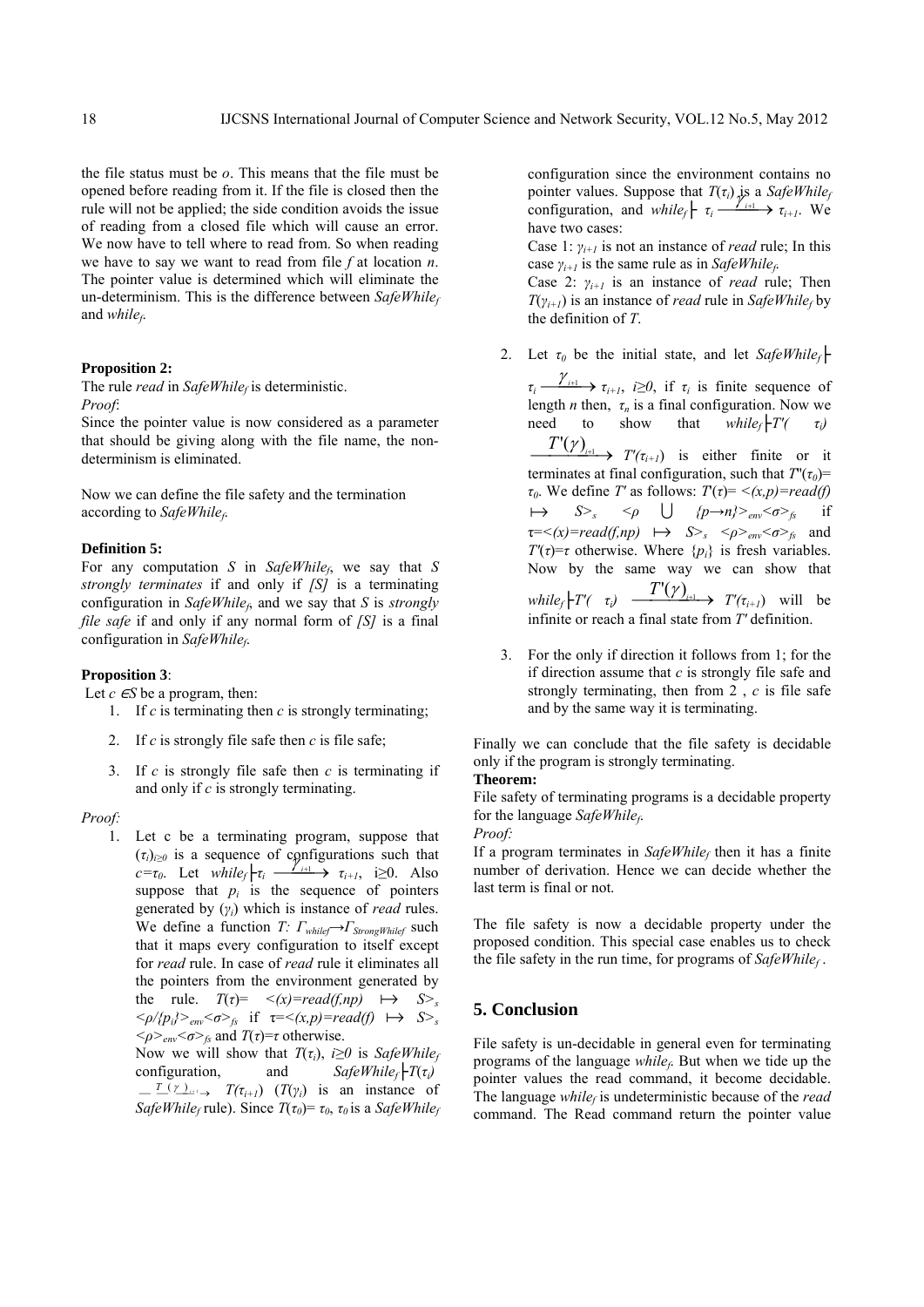the file status must be *o*. This means that the file must be opened before reading from it. If the file is closed then the rule will not be applied; the side condition avoids the issue of reading from a closed file which will cause an error. We now have to tell where to read from. So when reading we have to say we want to read from file *f* at location *n*. The pointer value is determined which will eliminate the un-determinism. This is the difference between *SafeWhilef* and *whilef*.

## **Proposition 2:**

The rule *read* in  $SafeWhile<sub>f</sub>$  is deterministic. *Proof*:

Since the pointer value is now considered as a parameter that should be giving along with the file name, the nondeterminism is eliminated.

Now we can define the file safety and the termination according to *SafeWhilef*.

## **Definition 5:**

For any computation *S* in *SafeWhile<sub>f</sub>*, we say that *S strongly terminates* if and only if *[S]* is a terminating configuration in *SafeWhilef*, and we say that *S* is *strongly file safe* if and only if any normal form of *[S]* is a final configuration in *SafeWhile<sub>f</sub>*.

# **Proposition 3**:

Let  $c \in S$  be a program, then:

- 1. If *c* is terminating then *c* is strongly terminating;
- 2. If *c* is strongly file safe then *c* is file safe;
- 3. If *c* is strongly file safe then *c* is terminating if and only if *c* is strongly terminating.

#### *Proof:*

1. Let c be a terminating program, suppose that  $(\tau_i)_{i\geq 0}$  is a sequence of configurations such that  $c = \tau_0$ . Let *while<sub>f</sub>* $\mid \tau_i \longrightarrow \tau_{i+1}$ , i≥0. Also suppose that  $p_i$  is the sequence of pointers generated by (*γi*) which is instance of *read* rules. We define a function *T: Γwhilef→ΓStrongWhilef* such that it maps every configuration to itself except for *read* rule. In case of *read* rule it eliminates all the pointers from the environment generated by the rule.  $T(\tau) = \langle x \rangle = \text{read}(f, np) \implies S \rangle_s$  $\langle \varphi / \langle p_i \rangle >_{env} \langle \sigma \rangle_f$  if  $\tau = \langle (x, p) = read(f) \rightarrow S \rangle_s$  $\langle \varphi \rangle$ <sub>*env</sub>*  $\langle \sigma \rangle$ <sub>*fs*</sub> and *T*(*τ*)=*τ* otherwise.</sub>

Now we will show that  $T(\tau_i)$ , *i* $\geq 0$  is *SafeWhilef* configuration, and  $SafeWhile_f \vdash T(\tau_i)$  $\frac{T(\gamma)}{T(\gamma_i)}$  *T*( $\tau_{i+1}$ ) (*T*( $\gamma_i$ ) is an instance of *SafeWhile<sub>f</sub>* rule). Since  $T(\tau_0) = \tau_0$ ,  $\tau_0$  is a *SafeWhilef* 

configuration since the environment contains no pointer values. Suppose that  $T(\tau_i)$  is a *SafeWhile<sub>f</sub>* configuration, and *while<sub>f</sub>*  $\mid \tau_i \longrightarrow_{i+1}^{\infty}$   $\to$   $\tau_{i+1}$ . We have two cases:

Case 1: *γi+1* is not an instance of *read* rule; In this case  $\gamma_{i+1}$  is the same rule as in *SafeWhilef*.

Case 2: *γi+1* is an instance of *read* rule; Then  $T(\gamma_{i+1})$  is an instance of *read* rule in *SafeWhile<sub>f</sub>* by the definition of *T*.

2. Let  $\tau_0$  be the initial state, and let *SafeWhilef* 

 $\tau_i \longrightarrow \tau_{i+1}$ , *i* $\geq 0$ , if  $\tau_i$  is finite sequence of length *n* then,  $\tau_n$  is a final configuration. Now we need to show that  $while_f$   $T'(-\tau_i)$ need to show that *whilef* $\vert T'(-\tau_i) \vert$  $\frac{T'(\gamma)}{T'(\gamma)}$  *T'*( $\tau$ <sub>*i+1*</sub>) is either finite or it terminates at final configuration, such that  $T'(\tau_0)$ = *τ*<sub>0</sub>. We define *T'* as follows:  $T(\tau) = \langle x, p \rangle = read(f)$  $\mapsto$   $S>_{s}$   $\lt\rho$   $\cup$   $\{p\rightarrow n\}>_{env} \lt \sigma>_{fs}$  if  $\tau =<(x)=read(f,np) \rightarrow S>_{s} <\rho>_{env}<\sigma>_{fs}$  and *T'*( $\tau$ )= $\tau$  otherwise. Where { $p_i$ } is fresh variables. Now by the same way we can show that  $while_f$   $T'(t \tau_i)$   $\longrightarrow$   $T'(t)$ <sub>*i+1</sub>* $\longrightarrow$   $T'(t_{i+1})$  will be</sub> infinite or reach a final state from *T'* definition.

3. For the only if direction it follows from 1; for the if direction assume that *c* is strongly file safe and strongly terminating, then from 2 , *c* is file safe and by the same way it is terminating.

Finally we can conclude that the file safety is decidable only if the program is strongly terminating.

# **Theorem:**

File safety of terminating programs is a decidable property for the language *SafeWhilef*.

*Proof:* 

If a program terminates in *SafeWhile<sub>f</sub>* then it has a finite number of derivation. Hence we can decide whether the last term is final or not.

The file safety is now a decidable property under the proposed condition. This special case enables us to check the file safety in the run time, for programs of *SafeWhilef* .

# **5. Conclusion**

File safety is un-decidable in general even for terminating programs of the language *while<sub>f</sub>*. But when we tide up the pointer values the read command, it become decidable. The language *while<sub>f</sub>* is undeterministic because of the *read* command. The Read command return the pointer value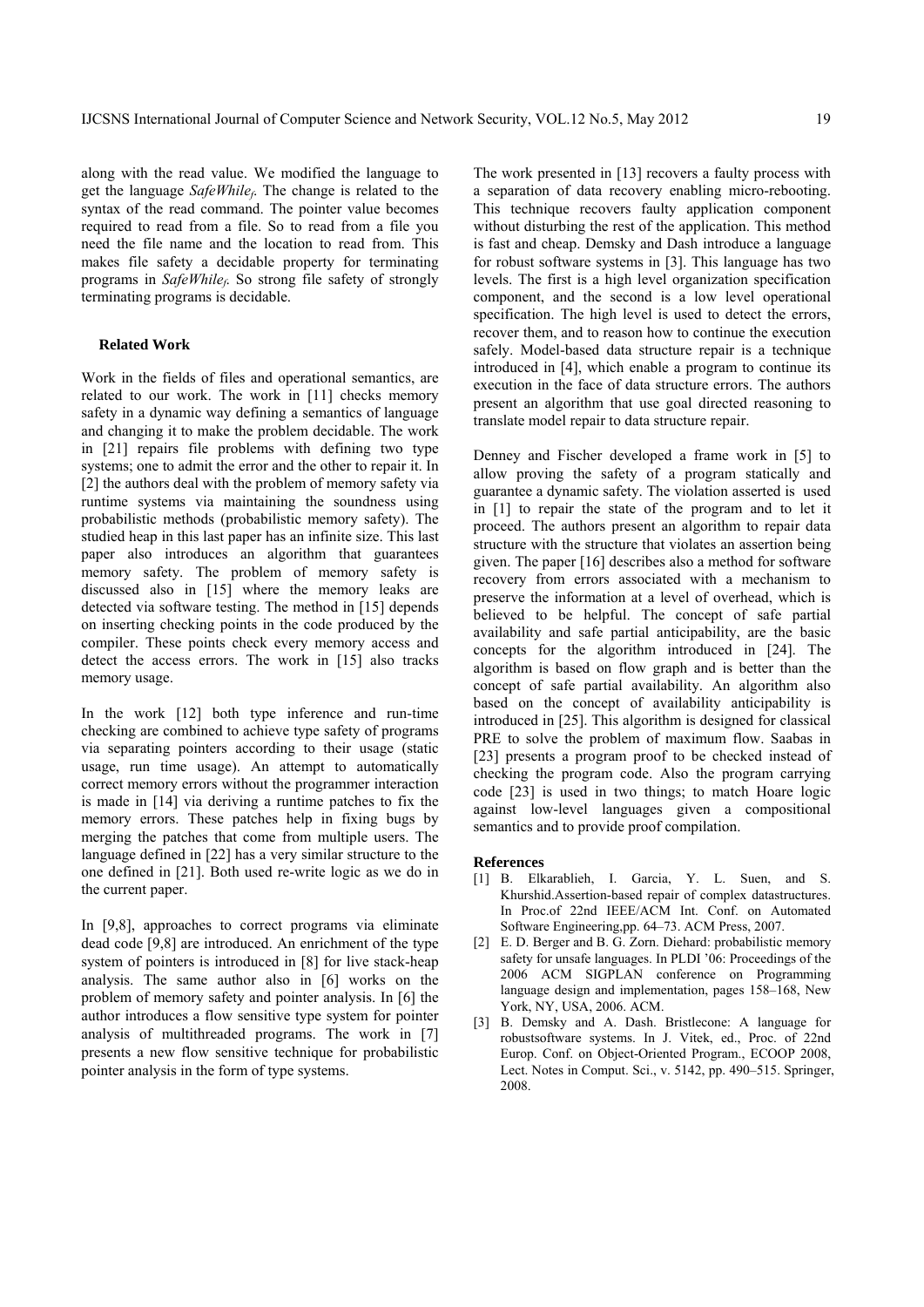along with the read value. We modified the language to get the language *SafeWhilef*. The change is related to the syntax of the read command. The pointer value becomes required to read from a file. So to read from a file you need the file name and the location to read from. This makes file safety a decidable property for terminating programs in *SafeWhile<sub>f</sub>*. So strong file safety of strongly terminating programs is decidable.

## **Related Work**

Work in the fields of files and operational semantics, are related to our work. The work in [11] checks memory safety in a dynamic way defining a semantics of language and changing it to make the problem decidable. The work in [21] repairs file problems with defining two type systems; one to admit the error and the other to repair it. In [2] the authors deal with the problem of memory safety via runtime systems via maintaining the soundness using probabilistic methods (probabilistic memory safety). The studied heap in this last paper has an infinite size. This last paper also introduces an algorithm that guarantees memory safety. The problem of memory safety is discussed also in [15] where the memory leaks are detected via software testing. The method in [15] depends on inserting checking points in the code produced by the compiler. These points check every memory access and detect the access errors. The work in [15] also tracks memory usage.

In the work [12] both type inference and run-time checking are combined to achieve type safety of programs via separating pointers according to their usage (static usage, run time usage). An attempt to automatically correct memory errors without the programmer interaction is made in [14] via deriving a runtime patches to fix the memory errors. These patches help in fixing bugs by merging the patches that come from multiple users. The language defined in [22] has a very similar structure to the one defined in [21]. Both used re-write logic as we do in the current paper.

In [9,8], approaches to correct programs via eliminate dead code [9,8] are introduced. An enrichment of the type system of pointers is introduced in [8] for live stack-heap analysis. The same author also in [6] works on the problem of memory safety and pointer analysis. In [6] the author introduces a flow sensitive type system for pointer analysis of multithreaded programs. The work in [7] presents a new flow sensitive technique for probabilistic pointer analysis in the form of type systems.

The work presented in [13] recovers a faulty process with a separation of data recovery enabling micro-rebooting. This technique recovers faulty application component without disturbing the rest of the application. This method is fast and cheap. Demsky and Dash introduce a language for robust software systems in [3]. This language has two levels. The first is a high level organization specification component, and the second is a low level operational specification. The high level is used to detect the errors, recover them, and to reason how to continue the execution safely. Model-based data structure repair is a technique introduced in [4], which enable a program to continue its execution in the face of data structure errors. The authors present an algorithm that use goal directed reasoning to translate model repair to data structure repair.

Denney and Fischer developed a frame work in [5] to allow proving the safety of a program statically and guarantee a dynamic safety. The violation asserted is used in [1] to repair the state of the program and to let it proceed. The authors present an algorithm to repair data structure with the structure that violates an assertion being given. The paper [16] describes also a method for software recovery from errors associated with a mechanism to preserve the information at a level of overhead, which is believed to be helpful. The concept of safe partial availability and safe partial anticipability, are the basic concepts for the algorithm introduced in [24]. The algorithm is based on flow graph and is better than the concept of safe partial availability. An algorithm also based on the concept of availability anticipability is introduced in [25]. This algorithm is designed for classical PRE to solve the problem of maximum flow. Saabas in [23] presents a program proof to be checked instead of checking the program code. Also the program carrying code [23] is used in two things; to match Hoare logic against low-level languages given a compositional semantics and to provide proof compilation.

#### **References**

- [1] B. Elkarablieh, I. Garcia, Y. L. Suen, and S. Khurshid.Assertion-based repair of complex datastructures. In Proc.of 22nd IEEE/ACM Int. Conf. on Automated Software Engineering,pp. 64–73. ACM Press, 2007.
- [2] E. D. Berger and B. G. Zorn. Diehard: probabilistic memory safety for unsafe languages. In PLDI '06: Proceedings of the 2006 ACM SIGPLAN conference on Programming language design and implementation, pages 158–168, New York, NY, USA, 2006. ACM.
- [3] B. Demsky and A. Dash. Bristlecone: A language for robustsoftware systems. In J. Vitek, ed., Proc. of 22nd Europ. Conf. on Object-Oriented Program., ECOOP 2008, Lect. Notes in Comput. Sci., v. 5142, pp. 490–515. Springer, 2008.